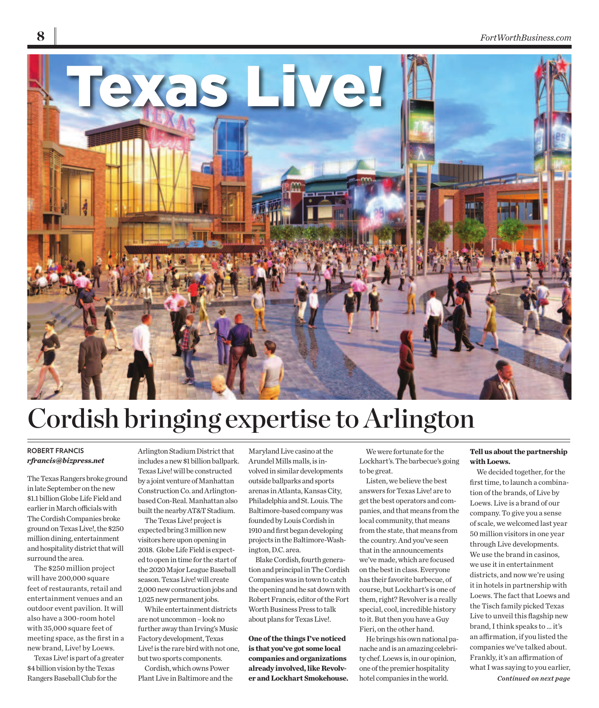

# Cordish bringing expertise to Arlington

#### **ROBERT FRANCIS** *rfrancis@bizpress.net*

The Texas Rangers broke ground in late September on the new \$1.1 billion Globe Life Field and earlier in March officials with The Cordish Companies broke ground on Texas Live!, the \$250 million dining, entertainment and hospitality district that will surround the area.

The \$250 million project will have 200,000 square feet of restaurants, retail and entertainment venues and an outdoor event pavilion. It will also have a 300-room hotel with 35,000 square feet of meeting space, as the first in a new brand, Live! by Loews.

Texas Live! is part of a greater \$4 billion vision by the Texas Rangers Baseball Club for the

Arlington Stadium District that includes a new \$1 billion ballpark. Texas Live! will be constructed by a joint venture of Manhattan Construction Co. and Arlingtonbased Con-Real. Manhattan also built the nearby AT&T Stadium.

The Texas Live! project is expected bring 3 million new visitors here upon opening in 2018. Globe Life Field is expected to open in time for the start of the 2020 Major League Baseball season. Texas Live! will create 2,000 new construction jobs and 1,025 new permanent jobs.

While entertainment districts are not uncommon – look no further away than Irving's Music Factory development, Texas Live! is the rare bird with not one, but two sports components.

Cordish, which owns Power Plant Live in Baltimore and the Maryland Live casino at the Arundel Mills malls, is involved in similar developments outside ballparks and sports arenas in Atlanta, Kansas City, Philadelphia and St. Louis. The Baltimore-based company was founded by Louis Cordish in 1910 and first began developing projects in the Baltimore-Washington, D.C. area.

Blake Cordish, fourth generation and principal in The Cordish Companies was in town to catch the opening and he sat down with Robert Francis, editor of the Fort Worth Business Press to talk about plans for Texas Live!.

**One of the things I've noticed is that you've got some local companies and organizations already involved, like Revolver and Lockhart Smokehouse.** 

We were fortunate for the Lockhart's. The barbecue's going to be great.

Listen, we believe the best answers for Texas Live! are to get the best operators and companies, and that means from the local community, that means from the state, that means from the country. And you've seen that in the announcements we've made, which are focused on the best in class. Everyone has their favorite barbecue, of course, but Lockhart's is one of them, right? Revolver is a really special, cool, incredible history to it. But then you have a Guy Fieri, on the other hand.

He brings his own national panache and is an amazing celebrity chef. Loews is, in our opinion, one of the premier hospitality hotel companies in the world.

## **Tell us about the partnership with Loews.**

We decided together, for the first time, to launch a combination of the brands, of Live by Loews. Live is a brand of our company. To give you a sense of scale, we welcomed last year 50 million visitors in one year through Live developments. We use the brand in casinos, we use it in entertainment districts, and now we're using it in hotels in partnership with Loews. The fact that Loews and the Tisch family picked Texas Live to unveil this flagship new brand, I think speaks to ... it's an affirmation, if you listed the companies we've talked about. Frankly, it's an affirmation of what I was saying to you earlier, *Continued on next page*